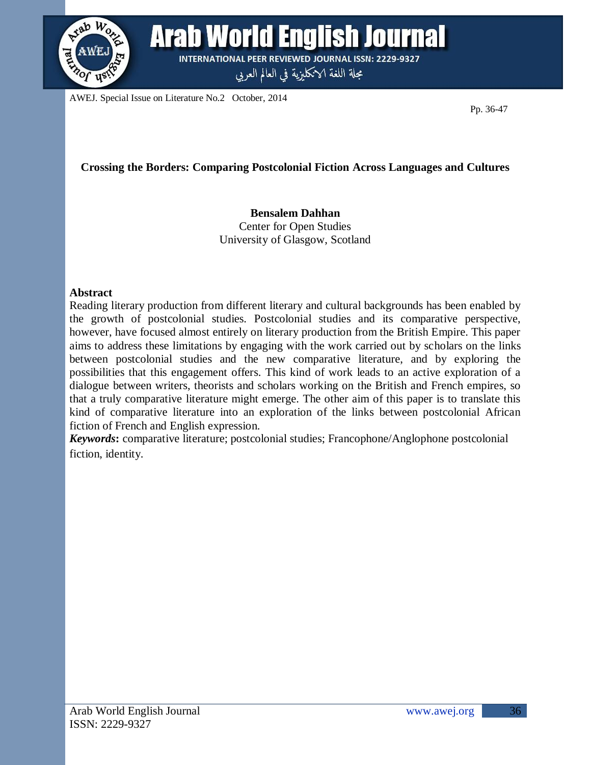

Arab World English Journal **INTERNATIONAL PEER REVIEWED JOURNAL ISSN: 2229-9327** 

مجلة اللغة الانكليزية في العالم العربي

AWEJ. Special Issue on Literature No.2 October, 2014

Pp. 36-47

# **Crossing the Borders: Comparing Postcolonial Fiction Across Languages and Cultures**

#### **Bensalem Dahhan** Center for Open Studies University of Glasgow, Scotland

#### **Abstract**

Reading literary production from different literary and cultural backgrounds has been enabled by the growth of postcolonial studies. Postcolonial studies and its comparative perspective, however, have focused almost entirely on literary production from the British Empire. This paper aims to address these limitations by engaging with the work carried out by scholars on the links between postcolonial studies and the new comparative literature, and by exploring the possibilities that this engagement offers. This kind of work leads to an active exploration of a dialogue between writers, theorists and scholars working on the British and French empires, so that a truly comparative literature might emerge. The other aim of this paper is to translate this kind of comparative literature into an exploration of the links between postcolonial African fiction of French and English expression.

*Keywords***:** comparative literature; postcolonial studies; Francophone/Anglophone postcolonial fiction, identity.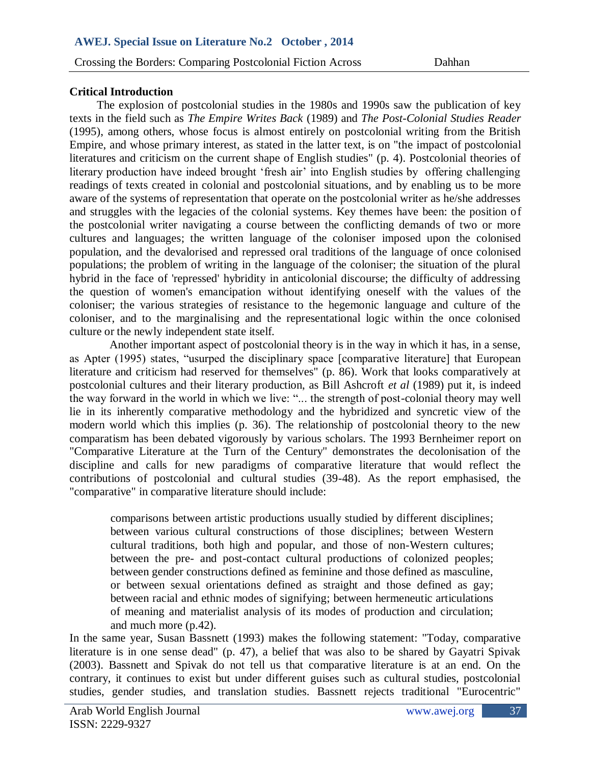#### **Critical Introduction**

The explosion of postcolonial studies in the 1980s and 1990s saw the publication of key texts in the field such as *The Empire Writes Back* (1989) and *The Post-Colonial Studies Reader* (1995), among others, whose focus is almost entirely on postcolonial writing from the British Empire, and whose primary interest, as stated in the latter text, is on "the impact of postcolonial literatures and criticism on the current shape of English studies" (p. 4). Postcolonial theories of literary production have indeed brought ‗fresh air' into English studies by offering challenging readings of texts created in colonial and postcolonial situations, and by enabling us to be more aware of the systems of representation that operate on the postcolonial writer as he/she addresses and struggles with the legacies of the colonial systems. Key themes have been: the position of the postcolonial writer navigating a course between the conflicting demands of two or more cultures and languages; the written language of the coloniser imposed upon the colonised population, and the devalorised and repressed oral traditions of the language of once colonised populations; the problem of writing in the language of the coloniser; the situation of the plural hybrid in the face of 'repressed' hybridity in anticolonial discourse; the difficulty of addressing the question of women's emancipation without identifying oneself with the values of the coloniser; the various strategies of resistance to the hegemonic language and culture of the coloniser, and to the marginalising and the representational logic within the once colonised culture or the newly independent state itself.

 Another important aspect of postcolonial theory is in the way in which it has, in a sense, as Apter (1995) states, "usurped the disciplinary space [comparative literature] that European literature and criticism had reserved for themselves" (p. 86). Work that looks comparatively at postcolonial cultures and their literary production, as Bill Ashcroft *et al* (1989) put it, is indeed the way forward in the world in which we live: "... the strength of post-colonial theory may well lie in its inherently comparative methodology and the hybridized and syncretic view of the modern world which this implies (p. 36). The relationship of postcolonial theory to the new comparatism has been debated vigorously by various scholars. The 1993 Bernheimer report on "Comparative Literature at the Turn of the Century" demonstrates the decolonisation of the discipline and calls for new paradigms of comparative literature that would reflect the contributions of postcolonial and cultural studies (39-48). As the report emphasised, the "comparative" in comparative literature should include:

comparisons between artistic productions usually studied by different disciplines; between various cultural constructions of those disciplines; between Western cultural traditions, both high and popular, and those of non-Western cultures; between the pre- and post-contact cultural productions of colonized peoples; between gender constructions defined as feminine and those defined as masculine, or between sexual orientations defined as straight and those defined as gay; between racial and ethnic modes of signifying; between hermeneutic articulations of meaning and materialist analysis of its modes of production and circulation; and much more (p.42).

In the same year, Susan Bassnett (1993) makes the following statement: "Today, comparative literature is in one sense dead" (p. 47), a belief that was also to be shared by Gayatri Spivak (2003). Bassnett and Spivak do not tell us that comparative literature is at an end. On the contrary, it continues to exist but under different guises such as cultural studies, postcolonial studies, gender studies, and translation studies. Bassnett rejects traditional "Eurocentric"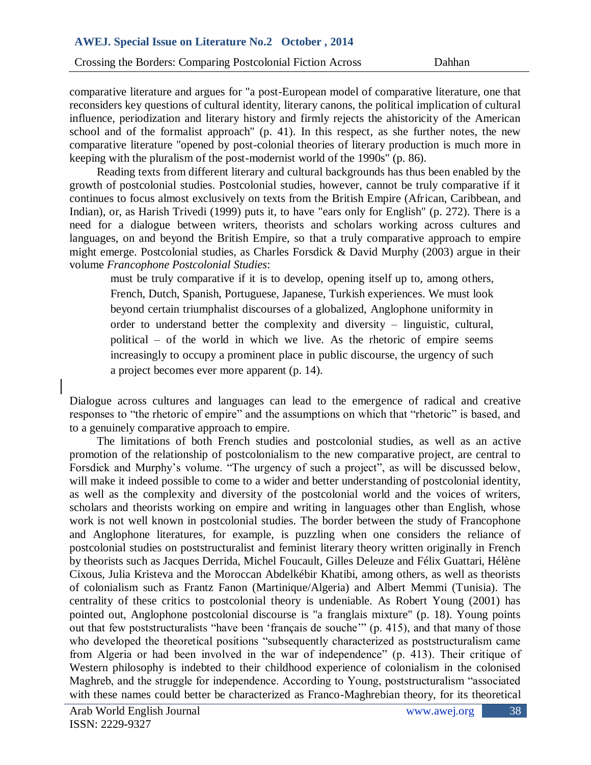Crossing the Borders: Comparing Postcolonial Fiction Across Dahhan

comparative literature and argues for "a post-European model of comparative literature, one that reconsiders key questions of cultural identity, literary canons, the political implication of cultural influence, periodization and literary history and firmly rejects the ahistoricity of the American school and of the formalist approach" (p. 41). In this respect, as she further notes, the new comparative literature "opened by post-colonial theories of literary production is much more in keeping with the pluralism of the post-modernist world of the 1990s" (p. 86).

Reading texts from different literary and cultural backgrounds has thus been enabled by the growth of postcolonial studies. Postcolonial studies, however, cannot be truly comparative if it continues to focus almost exclusively on texts from the British Empire (African, Caribbean, and Indian), or, as Harish Trivedi (1999) puts it, to have "ears only for English" (p. 272). There is a need for a dialogue between writers, theorists and scholars working across cultures and languages, on and beyond the British Empire, so that a truly comparative approach to empire might emerge. Postcolonial studies, as Charles Forsdick & David Murphy (2003) argue in their volume *Francophone Postcolonial Studies*:

must be truly comparative if it is to develop, opening itself up to, among others, French, Dutch, Spanish, Portuguese, Japanese, Turkish experiences. We must look beyond certain triumphalist discourses of a globalized, Anglophone uniformity in order to understand better the complexity and diversity – linguistic, cultural, political – of the world in which we live. As the rhetoric of empire seems increasingly to occupy a prominent place in public discourse, the urgency of such a project becomes ever more apparent (p. 14).

Dialogue across cultures and languages can lead to the emergence of radical and creative responses to "the rhetoric of empire" and the assumptions on which that "rhetoric" is based, and to a genuinely comparative approach to empire.

The limitations of both French studies and postcolonial studies, as well as an active promotion of the relationship of postcolonialism to the new comparative project, are central to Forsdick and Murphy's volume. "The urgency of such a project", as will be discussed below, will make it indeed possible to come to a wider and better understanding of postcolonial identity, as well as the complexity and diversity of the postcolonial world and the voices of writers, scholars and theorists working on empire and writing in languages other than English, whose work is not well known in postcolonial studies. The border between the study of Francophone and Anglophone literatures, for example, is puzzling when one considers the reliance of postcolonial studies on poststructuralist and feminist literary theory written originally in French by theorists such as Jacques Derrida, Michel Foucault, Gilles Deleuze and Félix Guattari, Hélène Cixous, Julia Kristeva and the Moroccan Abdelkébir Khatibi, among others, as well as theorists of colonialism such as Frantz Fanon (Martinique/Algeria) and Albert Memmi (Tunisia). The centrality of these critics to postcolonial theory is undeniable. As Robert Young (2001) has pointed out, Anglophone postcolonial discourse is "a franglais mixture" (p. 18). Young points out that few poststructuralists "have been 'français de souche" (p. 415), and that many of those who developed the theoretical positions "subsequently characterized as poststructuralism came from Algeria or had been involved in the war of independence" (p. 413). Their critique of Western philosophy is indebted to their childhood experience of colonialism in the colonised Maghreb, and the struggle for independence. According to Young, poststructuralism "associated with these names could better be characterized as Franco-Maghrebian theory, for its theoretical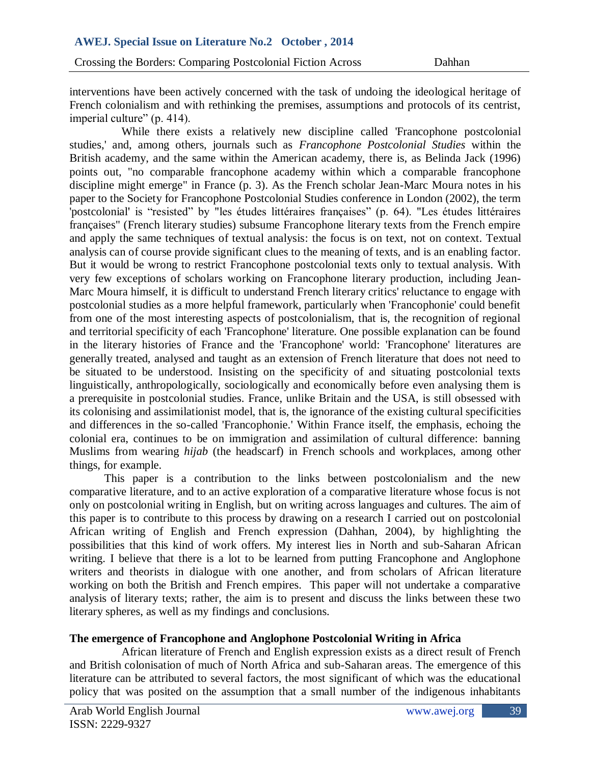interventions have been actively concerned with the task of undoing the ideological heritage of French colonialism and with rethinking the premises, assumptions and protocols of its centrist, imperial culture" (p. 414).

While there exists a relatively new discipline called 'Francophone postcolonial studies,' and, among others, journals such as *Francophone Postcolonial Studies* within the British academy, and the same within the American academy, there is, as Belinda Jack (1996) points out, "no comparable francophone academy within which a comparable francophone discipline might emerge" in France (p. 3). As the French scholar Jean-Marc Moura notes in his paper to the Society for Francophone Postcolonial Studies conference in London (2002), the term 'postcolonial' is "resisted" by "les études littéraires françaises" (p. 64). "Les études littéraires françaises" (French literary studies) subsume Francophone literary texts from the French empire and apply the same techniques of textual analysis: the focus is on text, not on context. Textual analysis can of course provide significant clues to the meaning of texts, and is an enabling factor. But it would be wrong to restrict Francophone postcolonial texts only to textual analysis. With very few exceptions of scholars working on Francophone literary production, including Jean-Marc Moura himself, it is difficult to understand French literary critics' reluctance to engage with postcolonial studies as a more helpful framework, particularly when 'Francophonie' could benefit from one of the most interesting aspects of postcolonialism, that is, the recognition of regional and territorial specificity of each 'Francophone' literature. One possible explanation can be found in the literary histories of France and the 'Francophone' world: 'Francophone' literatures are generally treated, analysed and taught as an extension of French literature that does not need to be situated to be understood. Insisting on the specificity of and situating postcolonial texts linguistically, anthropologically, sociologically and economically before even analysing them is a prerequisite in postcolonial studies. France, unlike Britain and the USA, is still obsessed with its colonising and assimilationist model, that is, the ignorance of the existing cultural specificities and differences in the so-called 'Francophonie.' Within France itself, the emphasis, echoing the colonial era, continues to be on immigration and assimilation of cultural difference: banning Muslims from wearing *hijab* (the headscarf) in French schools and workplaces, among other things, for example.

This paper is a contribution to the links between postcolonialism and the new comparative literature, and to an active exploration of a comparative literature whose focus is not only on postcolonial writing in English, but on writing across languages and cultures. The aim of this paper is to contribute to this process by drawing on a research I carried out on postcolonial African writing of English and French expression (Dahhan, 2004), by highlighting the possibilities that this kind of work offers. My interest lies in North and sub-Saharan African writing. I believe that there is a lot to be learned from putting Francophone and Anglophone writers and theorists in dialogue with one another, and from scholars of African literature working on both the British and French empires. This paper will not undertake a comparative analysis of literary texts; rather, the aim is to present and discuss the links between these two literary spheres, as well as my findings and conclusions.

### **The emergence of Francophone and Anglophone Postcolonial Writing in Africa**

African literature of French and English expression exists as a direct result of French and British colonisation of much of North Africa and sub-Saharan areas. The emergence of this literature can be attributed to several factors, the most significant of which was the educational policy that was posited on the assumption that a small number of the indigenous inhabitants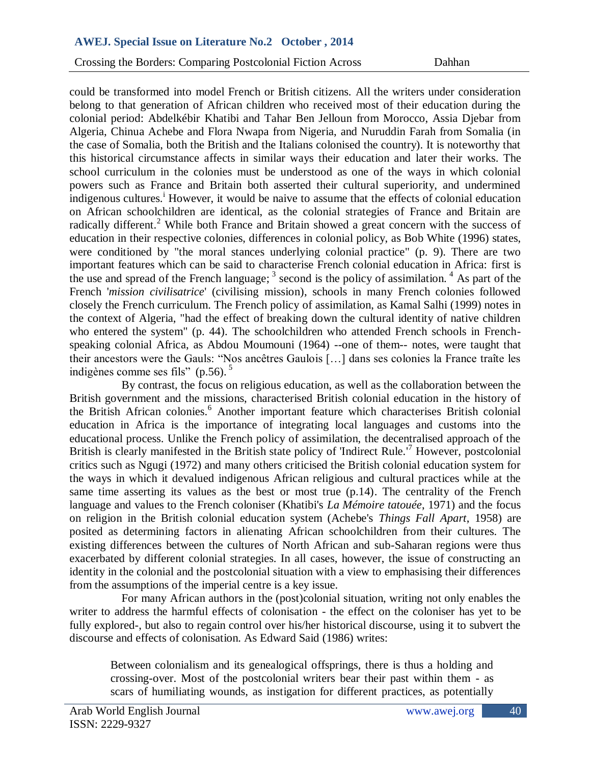could be transformed into model French or British citizens. All the writers under consideration belong to that generation of African children who received most of their education during the colonial period: Abdelkébir Khatibi and Tahar Ben Jelloun from Morocco, Assia Djebar from Algeria, Chinua Achebe and Flora Nwapa from Nigeria, and Nuruddin Farah from Somalia (in the case of Somalia, both the British and the Italians colonised the country). It is noteworthy that this historical circumstance affects in similar ways their education and later their works. The school curriculum in the colonies must be understood as one of the ways in which colonial powers such as France and Britain both asserted their cultural superiority, and undermined indigenous cultures.<sup>1</sup> However, it would be naive to assume that the effects of colonial education on African schoolchildren are identical, as the colonial strategies of France and Britain are radically different.<sup>2</sup> While both France and Britain showed a great concern with the success of education in their respective colonies, differences in colonial policy, as Bob White (1996) states, were conditioned by "the moral stances underlying colonial practice" (p. 9). There are two important features which can be said to characterise French colonial education in Africa: first is the use and spread of the French language;  $3$  second is the policy of assimilation.  $4$  As part of the French '*mission civilisatrice*' (civilising mission), schools in many French colonies followed closely the French curriculum. The French policy of assimilation, as Kamal Salhi (1999) notes in the context of Algeria, "had the effect of breaking down the cultural identity of native children who entered the system" (p. 44). The schoolchildren who attended French schools in Frenchspeaking colonial Africa, as Abdou Moumouni (1964) --one of them-- notes, were taught that their ancestors were the Gauls: "Nos ancêtres Gaulois [...] dans ses colonies la France traîte les indigènes comme ses fils" (p.56).  $5$ 

By contrast, the focus on religious education, as well as the collaboration between the British government and the missions, characterised British colonial education in the history of the British African colonies.<sup>6</sup> Another important feature which characterises British colonial education in Africa is the importance of integrating local languages and customs into the educational process. Unlike the French policy of assimilation, the decentralised approach of the British is clearly manifested in the British state policy of 'Indirect Rule.<sup>'7</sup> However, postcolonial critics such as Ngugi (1972) and many others criticised the British colonial education system for the ways in which it devalued indigenous African religious and cultural practices while at the same time asserting its values as the best or most true (p.14). The centrality of the French language and values to the French coloniser (Khatibi's *La Mémoire tatouée*, 1971) and the focus on religion in the British colonial education system (Achebe's *Things Fall Apart*, 1958) are posited as determining factors in alienating African schoolchildren from their cultures. The existing differences between the cultures of North African and sub-Saharan regions were thus exacerbated by different colonial strategies. In all cases, however, the issue of constructing an identity in the colonial and the postcolonial situation with a view to emphasising their differences from the assumptions of the imperial centre is a key issue.

For many African authors in the (post)colonial situation, writing not only enables the writer to address the harmful effects of colonisation - the effect on the coloniser has yet to be fully explored-, but also to regain control over his/her historical discourse, using it to subvert the discourse and effects of colonisation. As Edward Said (1986) writes:

Between colonialism and its genealogical offsprings, there is thus a holding and crossing-over. Most of the postcolonial writers bear their past within them - as scars of humiliating wounds, as instigation for different practices, as potentially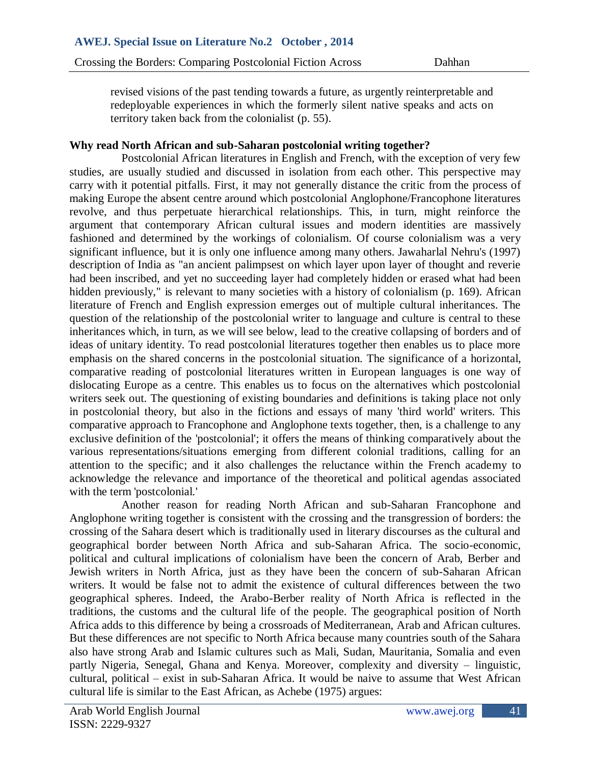revised visions of the past tending towards a future, as urgently reinterpretable and redeployable experiences in which the formerly silent native speaks and acts on territory taken back from the colonialist (p. 55).

### **Why read North African and sub-Saharan postcolonial writing together?**

Postcolonial African literatures in English and French, with the exception of very few studies, are usually studied and discussed in isolation from each other. This perspective may carry with it potential pitfalls. First, it may not generally distance the critic from the process of making Europe the absent centre around which postcolonial Anglophone/Francophone literatures revolve, and thus perpetuate hierarchical relationships. This, in turn, might reinforce the argument that contemporary African cultural issues and modern identities are massively fashioned and determined by the workings of colonialism. Of course colonialism was a very significant influence, but it is only one influence among many others. Jawaharlal Nehru's (1997) description of India as "an ancient palimpsest on which layer upon layer of thought and reverie had been inscribed, and yet no succeeding layer had completely hidden or erased what had been hidden previously," is relevant to many societies with a history of colonialism (p. 169). African literature of French and English expression emerges out of multiple cultural inheritances. The question of the relationship of the postcolonial writer to language and culture is central to these inheritances which, in turn, as we will see below, lead to the creative collapsing of borders and of ideas of unitary identity. To read postcolonial literatures together then enables us to place more emphasis on the shared concerns in the postcolonial situation. The significance of a horizontal, comparative reading of postcolonial literatures written in European languages is one way of dislocating Europe as a centre. This enables us to focus on the alternatives which postcolonial writers seek out. The questioning of existing boundaries and definitions is taking place not only in postcolonial theory, but also in the fictions and essays of many 'third world' writers. This comparative approach to Francophone and Anglophone texts together, then, is a challenge to any exclusive definition of the 'postcolonial'; it offers the means of thinking comparatively about the various representations/situations emerging from different colonial traditions, calling for an attention to the specific; and it also challenges the reluctance within the French academy to acknowledge the relevance and importance of the theoretical and political agendas associated with the term 'postcolonial.'

Another reason for reading North African and sub-Saharan Francophone and Anglophone writing together is consistent with the crossing and the transgression of borders: the crossing of the Sahara desert which is traditionally used in literary discourses as the cultural and geographical border between North Africa and sub-Saharan Africa. The socio-economic, political and cultural implications of colonialism have been the concern of Arab, Berber and Jewish writers in North Africa, just as they have been the concern of sub-Saharan African writers. It would be false not to admit the existence of cultural differences between the two geographical spheres. Indeed, the Arabo-Berber reality of North Africa is reflected in the traditions, the customs and the cultural life of the people. The geographical position of North Africa adds to this difference by being a crossroads of Mediterranean, Arab and African cultures. But these differences are not specific to North Africa because many countries south of the Sahara also have strong Arab and Islamic cultures such as Mali, Sudan, Mauritania, Somalia and even partly Nigeria, Senegal, Ghana and Kenya. Moreover, complexity and diversity – linguistic, cultural, political – exist in sub-Saharan Africa. It would be naive to assume that West African cultural life is similar to the East African, as Achebe (1975) argues: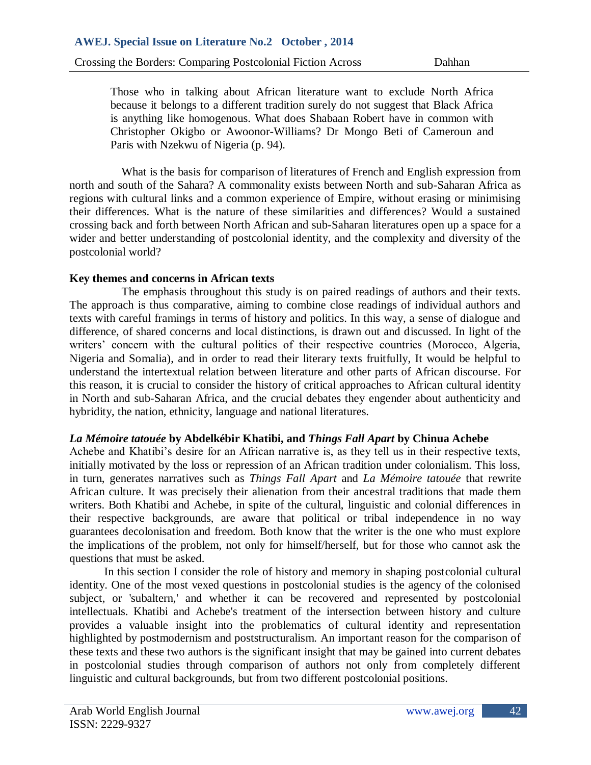Those who in talking about African literature want to exclude North Africa because it belongs to a different tradition surely do not suggest that Black Africa is anything like homogenous. What does Shabaan Robert have in common with Christopher Okigbo or Awoonor-Williams? Dr Mongo Beti of Cameroun and Paris with Nzekwu of Nigeria (p. 94).

What is the basis for comparison of literatures of French and English expression from north and south of the Sahara? A commonality exists between North and sub-Saharan Africa as regions with cultural links and a common experience of Empire, without erasing or minimising their differences. What is the nature of these similarities and differences? Would a sustained crossing back and forth between North African and sub-Saharan literatures open up a space for a wider and better understanding of postcolonial identity, and the complexity and diversity of the postcolonial world?

### **Key themes and concerns in African texts**

The emphasis throughout this study is on paired readings of authors and their texts. The approach is thus comparative, aiming to combine close readings of individual authors and texts with careful framings in terms of history and politics. In this way, a sense of dialogue and difference, of shared concerns and local distinctions, is drawn out and discussed. In light of the writers' concern with the cultural politics of their respective countries (Morocco, Algeria, Nigeria and Somalia), and in order to read their literary texts fruitfully, It would be helpful to understand the intertextual relation between literature and other parts of African discourse. For this reason, it is crucial to consider the history of critical approaches to African cultural identity in North and sub-Saharan Africa, and the crucial debates they engender about authenticity and hybridity, the nation, ethnicity, language and national literatures.

### *La Mémoire tatouée* **by Abdelkébir Khatibi, and** *Things Fall Apart* **by Chinua Achebe**

Achebe and Khatibi's desire for an African narrative is, as they tell us in their respective texts, initially motivated by the loss or repression of an African tradition under colonialism. This loss, in turn, generates narratives such as *Things Fall Apart* and *La Mémoire tatouée* that rewrite African culture. It was precisely their alienation from their ancestral traditions that made them writers. Both Khatibi and Achebe, in spite of the cultural, linguistic and colonial differences in their respective backgrounds, are aware that political or tribal independence in no way guarantees decolonisation and freedom. Both know that the writer is the one who must explore the implications of the problem, not only for himself/herself, but for those who cannot ask the questions that must be asked.

In this section I consider the role of history and memory in shaping postcolonial cultural identity. One of the most vexed questions in postcolonial studies is the agency of the colonised subject, or 'subaltern,' and whether it can be recovered and represented by postcolonial intellectuals. Khatibi and Achebe's treatment of the intersection between history and culture provides a valuable insight into the problematics of cultural identity and representation highlighted by postmodernism and poststructuralism. An important reason for the comparison of these texts and these two authors is the significant insight that may be gained into current debates in postcolonial studies through comparison of authors not only from completely different linguistic and cultural backgrounds, but from two different postcolonial positions.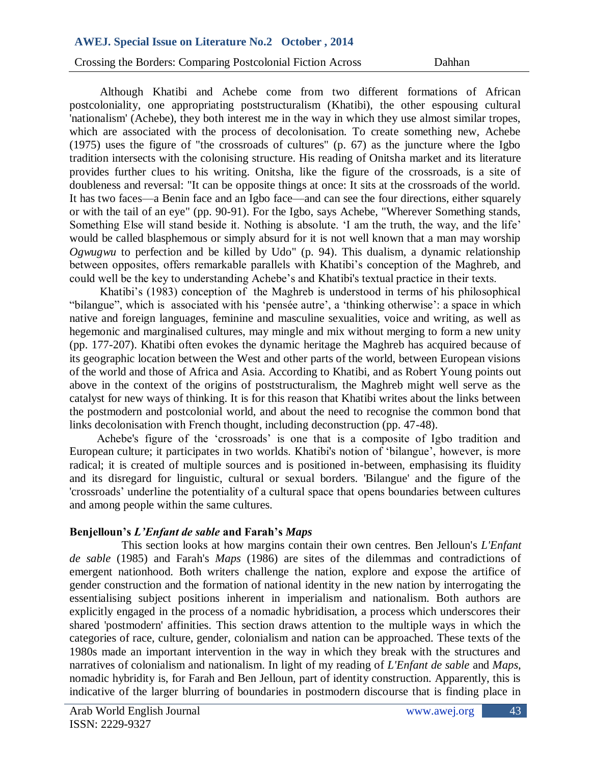Crossing the Borders: Comparing Postcolonial Fiction Across Dahhan

Although Khatibi and Achebe come from two different formations of African postcoloniality, one appropriating poststructuralism (Khatibi), the other espousing cultural 'nationalism' (Achebe), they both interest me in the way in which they use almost similar tropes, which are associated with the process of decolonisation. To create something new, Achebe (1975) uses the figure of "the crossroads of cultures" (p. 67) as the juncture where the Igbo tradition intersects with the colonising structure. His reading of Onitsha market and its literature provides further clues to his writing. Onitsha, like the figure of the crossroads, is a site of doubleness and reversal: "It can be opposite things at once: It sits at the crossroads of the world. It has two faces—a Benin face and an Igbo face—and can see the four directions, either squarely or with the tail of an eye" (pp. 90-91). For the Igbo, says Achebe, "Wherever Something stands, Something Else will stand beside it. Nothing is absolute. 'I am the truth, the way, and the life' would be called blasphemous or simply absurd for it is not well known that a man may worship *Ogwugwu* to perfection and be killed by Udo" (p. 94). This dualism, a dynamic relationship between opposites, offers remarkable parallels with Khatibi's conception of the Maghreb, and could well be the key to understanding Achebe's and Khatibi's textual practice in their texts.

Khatibi's (1983) conception of the Maghreb is understood in terms of his philosophical "bilangue", which is associated with his 'pensée autre', a 'thinking otherwise': a space in which native and foreign languages, feminine and masculine sexualities, voice and writing, as well as hegemonic and marginalised cultures, may mingle and mix without merging to form a new unity (pp. 177-207). Khatibi often evokes the dynamic heritage the Maghreb has acquired because of its geographic location between the West and other parts of the world, between European visions of the world and those of Africa and Asia. According to Khatibi, and as Robert Young points out above in the context of the origins of poststructuralism, the Maghreb might well serve as the catalyst for new ways of thinking. It is for this reason that Khatibi writes about the links between the postmodern and postcolonial world, and about the need to recognise the common bond that links decolonisation with French thought, including deconstruction (pp. 47-48).

Achebe's figure of the 'crossroads' is one that is a composite of Igbo tradition and European culture; it participates in two worlds. Khatibi's notion of 'bilangue', however, is more radical; it is created of multiple sources and is positioned in-between, emphasising its fluidity and its disregard for linguistic, cultural or sexual borders. 'Bilangue' and the figure of the 'crossroads' underline the potentiality of a cultural space that opens boundaries between cultures and among people within the same cultures.

#### **Benjelloun's** *L'Enfant de sable* **and Farah's** *Maps*

This section looks at how margins contain their own centres. Ben Jelloun's *L'Enfant de sable* (1985) and Farah's *Maps* (1986) are sites of the dilemmas and contradictions of emergent nationhood. Both writers challenge the nation, explore and expose the artifice of gender construction and the formation of national identity in the new nation by interrogating the essentialising subject positions inherent in imperialism and nationalism. Both authors are explicitly engaged in the process of a nomadic hybridisation, a process which underscores their shared 'postmodern' affinities. This section draws attention to the multiple ways in which the categories of race, culture, gender, colonialism and nation can be approached. These texts of the 1980s made an important intervention in the way in which they break with the structures and narratives of colonialism and nationalism. In light of my reading of *L'Enfant de sable* and *Maps*, nomadic hybridity is, for Farah and Ben Jelloun, part of identity construction. Apparently, this is indicative of the larger blurring of boundaries in postmodern discourse that is finding place in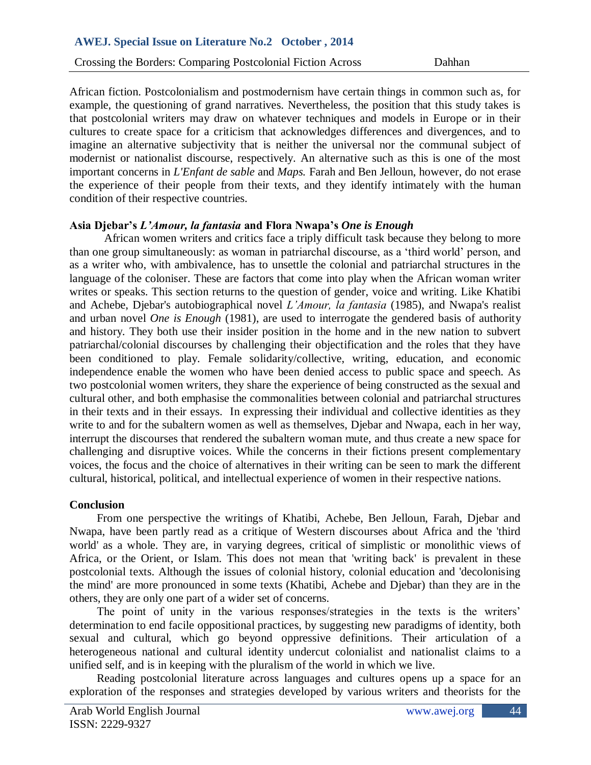African fiction. Postcolonialism and postmodernism have certain things in common such as, for example, the questioning of grand narratives. Nevertheless, the position that this study takes is that postcolonial writers may draw on whatever techniques and models in Europe or in their cultures to create space for a criticism that acknowledges differences and divergences, and to imagine an alternative subjectivity that is neither the universal nor the communal subject of modernist or nationalist discourse, respectively. An alternative such as this is one of the most important concerns in *L'Enfant de sable* and *Maps.* Farah and Ben Jelloun, however, do not erase the experience of their people from their texts, and they identify intimately with the human condition of their respective countries.

### **Asia Djebar's** *L'Amour, la fantasia* **and Flora Nwapa's** *One is Enough*

African women writers and critics face a triply difficult task because they belong to more than one group simultaneously: as woman in patriarchal discourse, as a 'third world' person, and as a writer who, with ambivalence, has to unsettle the colonial and patriarchal structures in the language of the coloniser. These are factors that come into play when the African woman writer writes or speaks. This section returns to the question of gender, voice and writing. Like Khatibi and Achebe, Djebar's autobiographical novel *L'Amour, la fantasia* (1985), and Nwapa's realist and urban novel *One is Enough* (1981), are used to interrogate the gendered basis of authority and history. They both use their insider position in the home and in the new nation to subvert patriarchal/colonial discourses by challenging their objectification and the roles that they have been conditioned to play. Female solidarity/collective, writing, education, and economic independence enable the women who have been denied access to public space and speech. As two postcolonial women writers, they share the experience of being constructed as the sexual and cultural other, and both emphasise the commonalities between colonial and patriarchal structures in their texts and in their essays. In expressing their individual and collective identities as they write to and for the subaltern women as well as themselves, Djebar and Nwapa, each in her way, interrupt the discourses that rendered the subaltern woman mute, and thus create a new space for challenging and disruptive voices. While the concerns in their fictions present complementary voices, the focus and the choice of alternatives in their writing can be seen to mark the different cultural, historical, political, and intellectual experience of women in their respective nations.

### **Conclusion**

From one perspective the writings of Khatibi, Achebe, Ben Jelloun, Farah, Djebar and Nwapa, have been partly read as a critique of Western discourses about Africa and the 'third world' as a whole. They are, in varying degrees, critical of simplistic or monolithic views of Africa, or the Orient, or Islam. This does not mean that 'writing back' is prevalent in these postcolonial texts. Although the issues of colonial history, colonial education and 'decolonising the mind' are more pronounced in some texts (Khatibi, Achebe and Djebar) than they are in the others, they are only one part of a wider set of concerns.

The point of unity in the various responses/strategies in the texts is the writers' determination to end facile oppositional practices, by suggesting new paradigms of identity, both sexual and cultural, which go beyond oppressive definitions. Their articulation of a heterogeneous national and cultural identity undercut colonialist and nationalist claims to a unified self, and is in keeping with the pluralism of the world in which we live.

Reading postcolonial literature across languages and cultures opens up a space for an exploration of the responses and strategies developed by various writers and theorists for the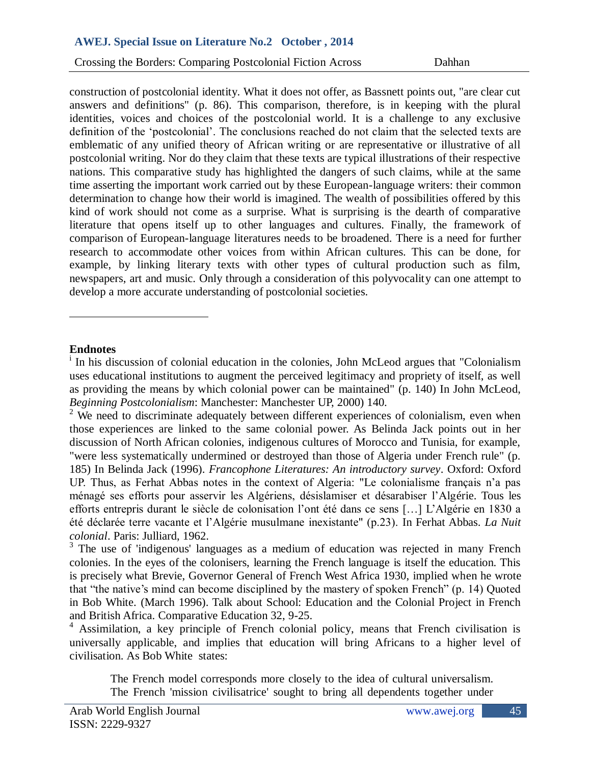Crossing the Borders: Comparing Postcolonial Fiction Across Dahhan

construction of postcolonial identity. What it does not offer, as Bassnett points out, "are clear cut answers and definitions" (p. 86). This comparison, therefore, is in keeping with the plural identities, voices and choices of the postcolonial world. It is a challenge to any exclusive definition of the 'postcolonial'. The conclusions reached do not claim that the selected texts are emblematic of any unified theory of African writing or are representative or illustrative of all postcolonial writing. Nor do they claim that these texts are typical illustrations of their respective nations. This comparative study has highlighted the dangers of such claims, while at the same time asserting the important work carried out by these European-language writers: their common determination to change how their world is imagined. The wealth of possibilities offered by this kind of work should not come as a surprise. What is surprising is the dearth of comparative literature that opens itself up to other languages and cultures. Finally, the framework of comparison of European-language literatures needs to be broadened. There is a need for further research to accommodate other voices from within African cultures. This can be done, for example, by linking literary texts with other types of cultural production such as film, newspapers, art and music. Only through a consideration of this polyvocality can one attempt to develop a more accurate understanding of postcolonial societies.

#### **Endnotes**

 $\overline{a}$ 

<sup>i</sup> In his discussion of colonial education in the colonies, John McLeod argues that "Colonialism uses educational institutions to augment the perceived legitimacy and propriety of itself, as well as providing the means by which colonial power can be maintained" (p. 140) In John McLeod, *Beginning Postcolonialism*: Manchester: Manchester UP, 2000) 140.

 $3$  The use of 'indigenous' languages as a medium of education was rejected in many French colonies. In the eyes of the colonisers, learning the French language is itself the education. This is precisely what Brevie, Governor General of French West Africa 1930, implied when he wrote that "the native's mind can become disciplined by the mastery of spoken French" (p. 14) Quoted in Bob White. (March 1996). Talk about School: Education and the Colonial Project in French and British Africa. Comparative Education 32, 9-25.

<sup>4</sup> Assimilation, a key principle of French colonial policy, means that French civilisation is universally applicable, and implies that education will bring Africans to a higher level of civilisation. As Bob White states:

The French model corresponds more closely to the idea of cultural universalism. The French 'mission civilisatrice' sought to bring all dependents together under

 $2\,$  We need to discriminate adequately between different experiences of colonialism, even when those experiences are linked to the same colonial power. As Belinda Jack points out in her discussion of North African colonies, indigenous cultures of Morocco and Tunisia, for example, "were less systematically undermined or destroyed than those of Algeria under French rule" (p. 185) In Belinda Jack (1996). *Francophone Literatures: An introductory survey*. Oxford: Oxford UP. Thus, as Ferhat Abbas notes in the context of Algeria: "Le colonialisme français n'a pas ménagé ses efforts pour asservir les Algériens, désislamiser et désarabiser l'Algérie. Tous les efforts entrepris durant le siècle de colonisation l'ont été dans ce sens […] L'Algérie en 1830 a été déclarée terre vacante et l'Algérie musulmane inexistante" (p.23). In Ferhat Abbas. *La Nuit colonial*. Paris: Julliard, 1962.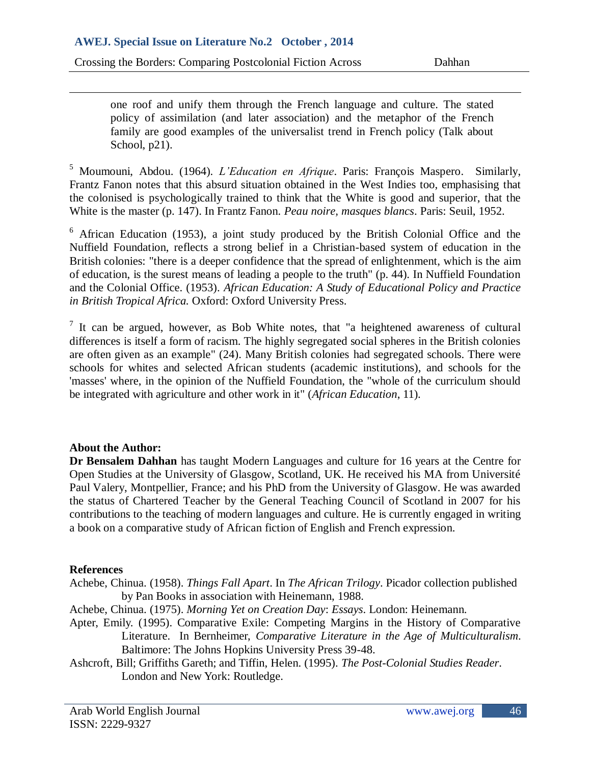one roof and unify them through the French language and culture. The stated policy of assimilation (and later association) and the metaphor of the French family are good examples of the universalist trend in French policy (Talk about School, p21).

<sup>5</sup> Moumouni, Abdou. (1964). *L'Education en Afrique*. Paris: François Maspero. Similarly, Frantz Fanon notes that this absurd situation obtained in the West Indies too, emphasising that the colonised is psychologically trained to think that the White is good and superior, that the White is the master (p. 147). In Frantz Fanon. *Peau noire, masques blancs*. Paris: Seuil, 1952.

<sup>6</sup> African Education (1953), a joint study produced by the British Colonial Office and the Nuffield Foundation, reflects a strong belief in a Christian-based system of education in the British colonies: "there is a deeper confidence that the spread of enlightenment, which is the aim of education, is the surest means of leading a people to the truth" (p. 44). In Nuffield Foundation and the Colonial Office. (1953). *African Education: A Study of Educational Policy and Practice in British Tropical Africa.* Oxford: Oxford University Press.

 $<sup>7</sup>$  It can be argued, however, as Bob White notes, that "a heightened awareness of cultural</sup> differences is itself a form of racism. The highly segregated social spheres in the British colonies are often given as an example" (24). Many British colonies had segregated schools. There were schools for whites and selected African students (academic institutions), and schools for the 'masses' where, in the opinion of the Nuffield Foundation, the "whole of the curriculum should be integrated with agriculture and other work in it" (*African Education*, 11).

### **About the Author:**

 $\overline{\phantom{a}}$ 

**Dr Bensalem Dahhan** has taught Modern Languages and culture for 16 years at the Centre for Open Studies at the University of Glasgow, Scotland, UK. He received his MA from Université Paul Valery, Montpellier, France; and his PhD from the University of Glasgow. He was awarded the status of Chartered Teacher by the General Teaching Council of Scotland in 2007 for his contributions to the teaching of modern languages and culture. He is currently engaged in writing a book on a comparative study of African fiction of English and French expression.

### **References**

- Achebe, Chinua. (1958). *Things Fall Apart*. In *The African Trilogy*. Picador collection published by Pan Books in association with Heinemann, 1988.
- Achebe, Chinua. (1975). *Morning Yet on Creation Day*: *Essays*. London: Heinemann.
- Apter, Emily. (1995). Comparative Exile: Competing Margins in the History of Comparative Literature. In Bernheimer, *Comparative Literature in the Age of Multiculturalism*. Baltimore: The Johns Hopkins University Press 39-48.
- Ashcroft, Bill; Griffiths Gareth; and Tiffin, Helen. (1995). *The Post-Colonial Studies Reader*. London and New York: Routledge.